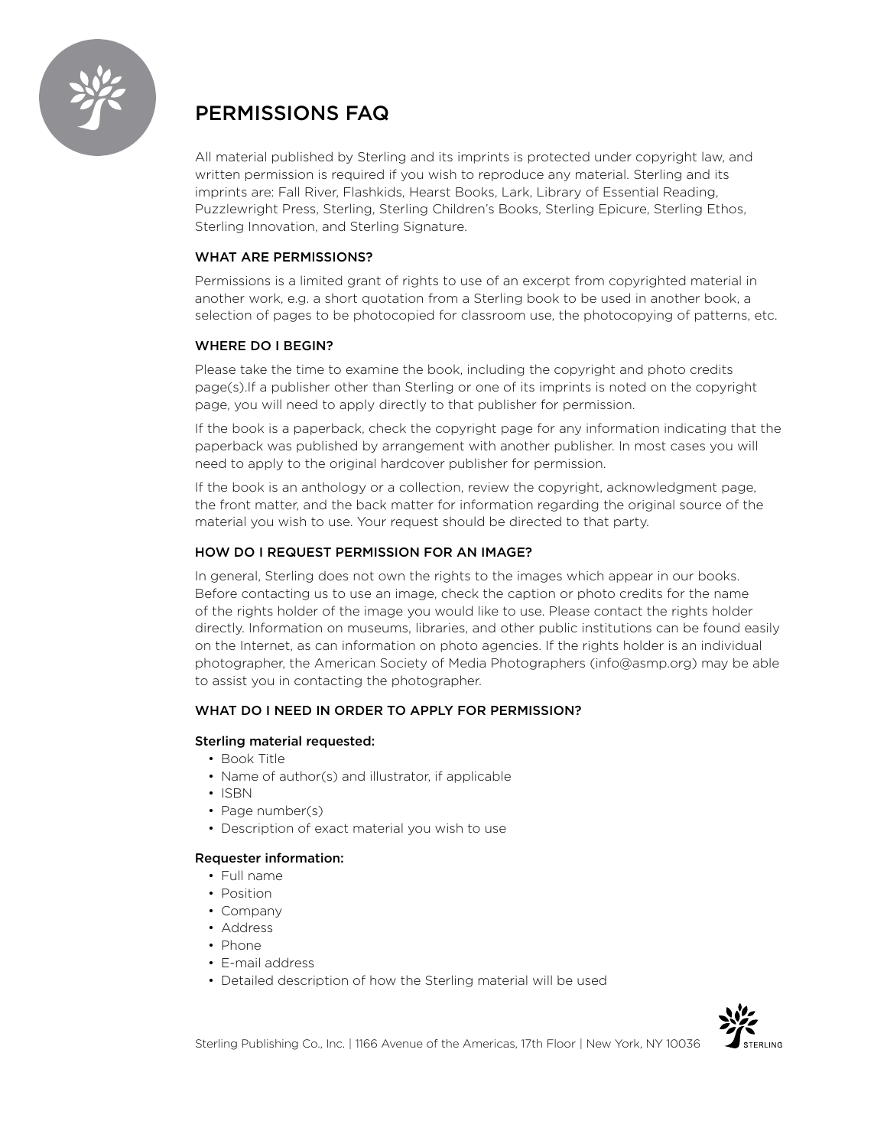

# PERMISSIONS FAQ

All material published by Sterling and its imprints is protected under copyright law, and written permission is required if you wish to reproduce any material. Sterling and its imprints are: Fall River, Flashkids, Hearst Books, Lark, Library of Essential Reading, Puzzlewright Press, Sterling, Sterling Children's Books, Sterling Epicure, Sterling Ethos, Sterling Innovation, and Sterling Signature.

## WHAT ARE PERMISSIONS?

Permissions is a limited grant of rights to use of an excerpt from copyrighted material in another work, e.g. a short quotation from a Sterling book to be used in another book, a selection of pages to be photocopied for classroom use, the photocopying of patterns, etc.

## WHERE DO I BEGIN?

Please take the time to examine the book, including the copyright and photo credits page(s).If a publisher other than Sterling or one of its imprints is noted on the copyright page, you will need to apply directly to that publisher for permission.

If the book is a paperback, check the copyright page for any information indicating that the paperback was published by arrangement with another publisher. In most cases you will need to apply to the original hardcover publisher for permission.

If the book is an anthology or a collection, review the copyright, acknowledgment page, the front matter, and the back matter for information regarding the original source of the material you wish to use. Your request should be directed to that party.

# HOW DO I REQUEST PERMISSION FOR AN IMAGE?

In general, Sterling does not own the rights to the images which appear in our books. Before contacting us to use an image, check the caption or photo credits for the name of the rights holder of the image you would like to use. Please contact the rights holder directly. Information on museums, libraries, and other public institutions can be found easily on the Internet, as can information on photo agencies. If the rights holder is an individual photographer, the American Society of Media Photographers (info@asmp.org) may be able to assist you in contacting the photographer.

# WHAT DO I NEED IN ORDER TO APPLY FOR PERMISSION?

## Sterling material requested:

- Book Title
- Name of author(s) and illustrator, if applicable
- ISBN
- Page number(s)
- Description of exact material you wish to use

## Requester information:

- Full name
- Position
- Company
- Address
- Phone
- E-mail address
- Detailed description of how the Sterling material will be used